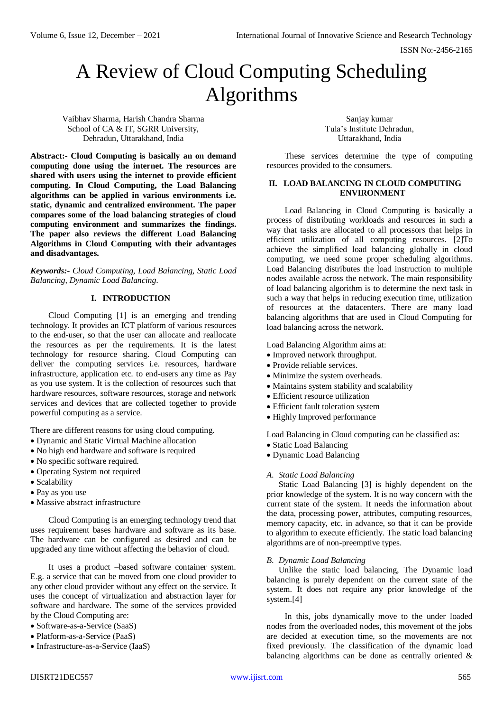# A Review of Cloud Computing Scheduling Algorithms

Vaibhav Sharma, Harish Chandra Sharma School of CA & IT, SGRR University, Dehradun, Uttarakhand, India

**Abstract:- Cloud Computing is basically an on demand computing done using the internet. The resources are shared with users using the internet to provide efficient computing. In Cloud Computing, the Load Balancing algorithms can be applied in various environments i.e. static, dynamic and centralized environment. The paper compares some of the load balancing strategies of cloud computing environment and summarizes the findings. The paper also reviews the different Load Balancing Algorithms in Cloud Computing with their advantages and disadvantages.**

*Keywords:- Cloud Computing, Load Balancing, Static Load Balancing, Dynamic Load Balancing.*

# **I. INTRODUCTION**

Cloud Computing [1] is an emerging and trending technology. It provides an ICT platform of various resources to the end-user, so that the user can allocate and reallocate the resources as per the requirements. It is the latest technology for resource sharing. Cloud Computing can deliver the computing services i.e. resources, hardware infrastructure, application etc. to end-users any time as Pay as you use system. It is the collection of resources such that hardware resources, software resources, storage and network services and devices that are collected together to provide powerful computing as a service.

There are different reasons for using cloud computing.

- Dynamic and Static Virtual Machine allocation
- No high end hardware and software is required
- No specific software required.
- Operating System not required
- Scalability
- Pay as you use
- Massive abstract infrastructure

Cloud Computing is an emerging technology trend that uses requirement bases hardware and software as its base. The hardware can be configured as desired and can be upgraded any time without affecting the behavior of cloud.

It uses a product –based software container system. E.g. a service that can be moved from one cloud provider to any other cloud provider without any effect on the service. It uses the concept of virtualization and abstraction layer for software and hardware. The some of the services provided by the Cloud Computing are:

- Software-as-a-Service (SaaS)
- Platform-as-a-Service (PaaS)
- Infrastructure-as-a-Service (IaaS)

Sanjay kumar Tula's Institute Dehradun, Uttarakhand, India

These services determine the type of computing resources provided to the consumers.

#### **II. LOAD BALANCING IN CLOUD COMPUTING ENVIRONMENT**

Load Balancing in Cloud Computing is basically a process of distributing workloads and resources in such a way that tasks are allocated to all processors that helps in efficient utilization of all computing resources. [2]To achieve the simplified load balancing globally in cloud computing, we need some proper scheduling algorithms. Load Balancing distributes the load instruction to multiple nodes available across the network. The main responsibility of load balancing algorithm is to determine the next task in such a way that helps in reducing execution time, utilization of resources at the datacenters. There are many load balancing algorithms that are used in Cloud Computing for load balancing across the network.

Load Balancing Algorithm aims at:

- Improved network throughput.
- Provide reliable services.
- Minimize the system overheads.
- Maintains system stability and scalability
- Efficient resource utilization
- Efficient fault toleration system
- Highly Improved performance

Load Balancing in Cloud computing can be classified as:

- Static Load Balancing
- Dynamic Load Balancing

# *A. Static Load Balancing*

Static Load Balancing [3] is highly dependent on the prior knowledge of the system. It is no way concern with the current state of the system. It needs the information about the data, processing power, attributes, computing resources, memory capacity, etc. in advance, so that it can be provide to algorithm to execute efficiently. The static load balancing algorithms are of non-preemptive types.

# *B. Dynamic Load Balancing*

Unlike the static load balancing, The Dynamic load balancing is purely dependent on the current state of the system. It does not require any prior knowledge of the system.<sup>[4]</sup>

In this, jobs dynamically move to the under loaded nodes from the overloaded nodes, this movement of the jobs are decided at execution time, so the movements are not fixed previously. The classification of the dynamic load balancing algorithms can be done as centrally oriented  $\&$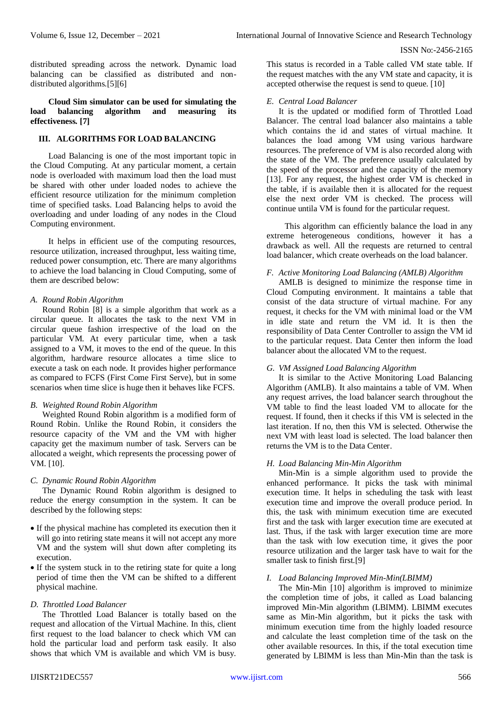ISSN No:-2456-2165

distributed spreading across the network. Dynamic load balancing can be classified as distributed and nondistributed algorithms.[5][6]

#### **Cloud Sim simulator can be used for simulating the load balancing algorithm and measuring its effectiveness. [7]**

# **III. ALGORITHMS FOR LOAD BALANCING**

Load Balancing is one of the most important topic in the Cloud Computing. At any particular moment, a certain node is overloaded with maximum load then the load must be shared with other under loaded nodes to achieve the efficient resource utilization for the minimum completion time of specified tasks. Load Balancing helps to avoid the overloading and under loading of any nodes in the Cloud Computing environment.

It helps in efficient use of the computing resources, resource utilization, increased throughput, less waiting time, reduced power consumption, etc. There are many algorithms to achieve the load balancing in Cloud Computing, some of them are described below:

#### *A. Round Robin Algorithm*

Round Robin [8] is a simple algorithm that work as a circular queue. It allocates the task to the next VM in circular queue fashion irrespective of the load on the particular VM. At every particular time, when a task assigned to a VM, it moves to the end of the queue. In this algorithm, hardware resource allocates a time slice to execute a task on each node. It provides higher performance as compared to FCFS (First Come First Serve), but in some scenarios when time slice is huge then it behaves like FCFS.

# *B. Weighted Round Robin Algorithm*

Weighted Round Robin algorithm is a modified form of Round Robin. Unlike the Round Robin, it considers the resource capacity of the VM and the VM with higher capacity get the maximum number of task. Servers can be allocated a weight, which represents the processing power of VM. [10].

#### *C. Dynamic Round Robin Algorithm*

The Dynamic Round Robin algorithm is designed to reduce the energy consumption in the system. It can be described by the following steps:

- If the physical machine has completed its execution then it will go into retiring state means it will not accept any more VM and the system will shut down after completing its execution.
- If the system stuck in to the retiring state for quite a long period of time then the VM can be shifted to a different physical machine.

# *D. Throttled Load Balancer*

The Throttled Load Balancer is totally based on the request and allocation of the Virtual Machine. In this, client first request to the load balancer to check which VM can hold the particular load and perform task easily. It also shows that which VM is available and which VM is busy.

This status is recorded in a Table called VM state table. If the request matches with the any VM state and capacity, it is accepted otherwise the request is send to queue. [10]

#### *E. Central Load Balancer*

It is the updated or modified form of Throttled Load Balancer. The central load balancer also maintains a table which contains the id and states of virtual machine. It balances the load among VM using various hardware resources. The preference of VM is also recorded along with the state of the VM. The preference usually calculated by the speed of the processor and the capacity of the memory [13]. For any request, the highest order VM is checked in the table, if is available then it is allocated for the request else the next order VM is checked. The process will continue untila VM is found for the particular request.

This algorithm can efficiently balance the load in any extreme heterogeneous conditions, however it has a drawback as well. All the requests are returned to central load balancer, which create overheads on the load balancer.

#### *F. Active Monitoring Load Balancing (AMLB) Algorithm*

AMLB is designed to minimize the response time in Cloud Computing environment. It maintains a table that consist of the data structure of virtual machine. For any request, it checks for the VM with minimal load or the VM in idle state and return the VM id. It is then the responsibility of Data Center Controller to assign the VM id to the particular request. Data Center then inform the load balancer about the allocated VM to the request.

# *G. VM Assigned Load Balancing Algorithm*

It is similar to the Active Monitoring Load Balancing Algorithm (AMLB). It also maintains a table of VM. When any request arrives, the load balancer search throughout the VM table to find the least loaded VM to allocate for the request. If found, then it checks if this VM is selected in the last iteration. If no, then this VM is selected. Otherwise the next VM with least load is selected. The load balancer then returns the VM is to the Data Center.

#### *H. Load Balancing Min-Min Algorithm*

Min-Min is a simple algorithm used to provide the enhanced performance. It picks the task with minimal execution time. It helps in scheduling the task with least execution time and improve the overall produce period. In this, the task with minimum execution time are executed first and the task with larger execution time are executed at last. Thus, if the task with larger execution time are more than the task with low execution time, it gives the poor resource utilization and the larger task have to wait for the smaller task to finish first.[9]

# *I. Load Balancing Improved Min-Min(LBIMM)*

The Min-Min [10] algorithm is improved to minimize the completion time of jobs, it called as Load balancing improved Min-Min algorithm (LBIMM). LBIMM executes same as Min-Min algorithm, but it picks the task with minimum execution time from the highly loaded resource and calculate the least completion time of the task on the other available resources. In this, if the total execution time generated by LBIMM is less than Min-Min than the task is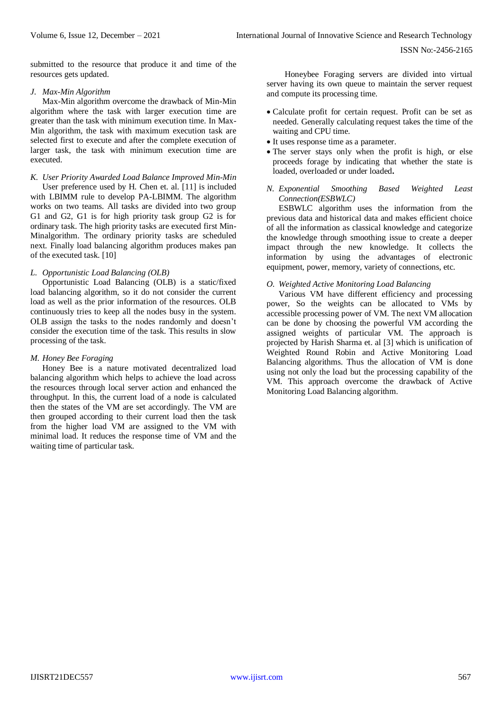submitted to the resource that produce it and time of the resources gets updated.

#### *J. Max-Min Algorithm*

Max-Min algorithm overcome the drawback of Min-Min algorithm where the task with larger execution time are greater than the task with minimum execution time. In Max-Min algorithm, the task with maximum execution task are selected first to execute and after the complete execution of larger task, the task with minimum execution time are executed.

#### *K. User Priority Awarded Load Balance Improved Min-Min*

User preference used by H. Chen et. al. [11] is included with LBIMM rule to develop PA-LBIMM. The algorithm works on two teams. All tasks are divided into two group G1 and G2, G1 is for high priority task group G2 is for ordinary task. The high priority tasks are executed first Min-Minalgorithm. The ordinary priority tasks are scheduled next. Finally load balancing algorithm produces makes pan of the executed task. [10]

#### *L. Opportunistic Load Balancing (OLB)*

Opportunistic Load Balancing (OLB) is a static/fixed load balancing algorithm, so it do not consider the current load as well as the prior information of the resources. OLB continuously tries to keep all the nodes busy in the system. OLB assign the tasks to the nodes randomly and doesn't consider the execution time of the task. This results in slow processing of the task.

#### *M. Honey Bee Foraging*

Honey Bee is a nature motivated decentralized load balancing algorithm which helps to achieve the load across the resources through local server action and enhanced the throughput. In this, the current load of a node is calculated then the states of the VM are set accordingly. The VM are then grouped according to their current load then the task from the higher load VM are assigned to the VM with minimal load. It reduces the response time of VM and the waiting time of particular task.

Honeybee Foraging servers are divided into virtual server having its own queue to maintain the server request and compute its processing time.

- Calculate profit for certain request. Profit can be set as needed. Generally calculating request takes the time of the waiting and CPU time.
- It uses response time as a parameter.
- The server stays only when the profit is high, or else proceeds forage by indicating that whether the state is loaded, overloaded or under loaded**.**
- *N. Exponential Smoothing Based Weighted Least Connection(ESBWLC)*

ESBWLC algorithm uses the information from the previous data and historical data and makes efficient choice of all the information as classical knowledge and categorize the knowledge through smoothing issue to create a deeper impact through the new knowledge. It collects the information by using the advantages of electronic equipment, power, memory, variety of connections, etc.

# *O. Weighted Active Monitoring Load Balancing*

Various VM have different efficiency and processing power, So the weights can be allocated to VMs by accessible processing power of VM. The next VM allocation can be done by choosing the powerful VM according the assigned weights of particular VM. The approach is projected by Harish Sharma et. al [3] which is unification of Weighted Round Robin and Active Monitoring Load Balancing algorithms. Thus the allocation of VM is done using not only the load but the processing capability of the VM. This approach overcome the drawback of Active Monitoring Load Balancing algorithm.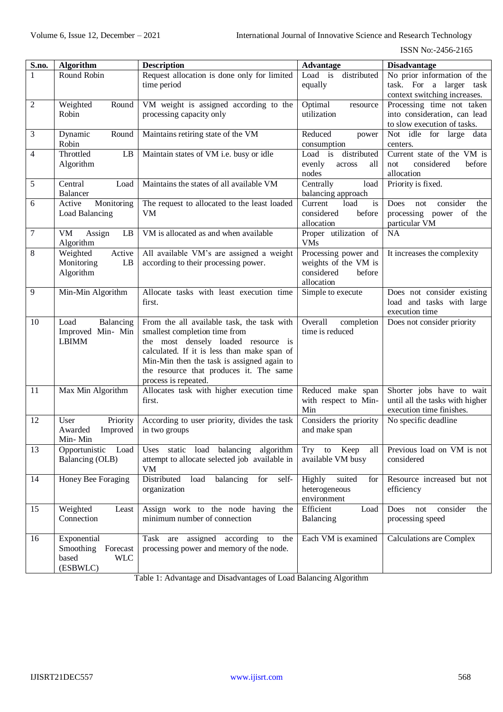| S.no.          | <b>Algorithm</b>                       | <b>Description</b>                               | <b>Advantage</b>         | <b>Disadvantage</b>                   |
|----------------|----------------------------------------|--------------------------------------------------|--------------------------|---------------------------------------|
| $\mathbf{1}$   | Round Robin                            | Request allocation is done only for limited      | distributed<br>Load is   | No prior information of the           |
|                |                                        | time period                                      | equally                  | task. For a larger task               |
|                |                                        |                                                  |                          | context switching increases.          |
| $\mathfrak{2}$ | Weighted<br>Round                      | VM weight is assigned according to the           | Optimal<br>resource      | Processing time not taken             |
|                | Robin                                  | processing capacity only                         | utilization              | into consideration, can lead          |
|                |                                        |                                                  |                          | to slow execution of tasks.           |
| 3              | Round<br>Dynamic                       | Maintains retiring state of the VM               | Reduced<br>power         | Not idle for large data               |
|                | Robin                                  |                                                  | consumption              | centers.                              |
| $\overline{4}$ | Throttled<br>LB                        | Maintain states of VM i.e. busy or idle          | Load is distributed      | Current state of the VM is            |
|                | Algorithm                              |                                                  | evenly<br>all<br>across  | considered<br>before<br>not           |
|                |                                        |                                                  | nodes                    | allocation                            |
| 5              | Central<br>Load                        | Maintains the states of all available VM         | Centrally<br>load        | Priority is fixed.                    |
|                | Balancer                               |                                                  | balancing approach       |                                       |
| 6              | Active<br>Monitoring                   | The request to allocated to the least loaded     | Current<br>load<br>is    | <b>Does</b><br>consider<br>the<br>not |
|                | Load Balancing                         | VM                                               | considered<br>before     | processing power of the               |
|                |                                        |                                                  | allocation               | particular VM                         |
| $\sqrt{ }$     | $\mathbf{L}\mathbf{B}$<br>VM<br>Assign | VM is allocated as and when available            | Proper utilization of    | NA                                    |
|                | Algorithm                              |                                                  | <b>VMs</b>               |                                       |
| $8\,$          | Weighted<br>Active                     | All available VM's are assigned a weight         | Processing power and     | It increases the complexity           |
|                | Monitoring<br>LB                       | according to their processing power.             | weights of the VM is     |                                       |
|                | Algorithm                              |                                                  | considered<br>before     |                                       |
|                |                                        |                                                  | allocation               |                                       |
| 9              | Min-Min Algorithm                      | Allocate tasks with least execution time         | Simple to execute        | Does not consider existing            |
|                |                                        | first.                                           |                          | load and tasks with large             |
|                |                                        |                                                  |                          | execution time                        |
| 10             | Load<br>Balancing                      | From the all available task, the task with       | Overall<br>completion    | Does not consider priority            |
|                | Improved Min- Min                      | smallest completion time from                    | time is reduced          |                                       |
|                | <b>LBIMM</b>                           | the most densely loaded resource is              |                          |                                       |
|                |                                        | calculated. If it is less than make span of      |                          |                                       |
|                |                                        | Min-Min then the task is assigned again to       |                          |                                       |
|                |                                        | the resource that produces it. The same          |                          |                                       |
|                |                                        | process is repeated.                             |                          |                                       |
| 11             | Max Min Algorithm                      | Allocates task with higher execution time        | Reduced make span        | Shorter jobs have to wait             |
|                |                                        | first.                                           | with respect to Min-     | until all the tasks with higher       |
|                |                                        |                                                  | Min                      | execution time finishes.              |
| 12             | Priority<br>User                       | According to user priority, divides the task     | Considers the priority   | No specific deadline                  |
|                | Awarded<br>Improved                    | in two groups                                    | and make span            |                                       |
|                | Min-Min                                |                                                  |                          |                                       |
| 13             | Opportunistic<br>Load                  | static load balancing algorithm<br>Uses          | Try<br>Keep<br>to<br>all | Previous load on VM is not            |
|                | Balancing (OLB)                        | attempt to allocate selected job available in    | available VM busy        | considered                            |
|                |                                        | <b>VM</b>                                        |                          |                                       |
| 14             | Honey Bee Foraging                     | Distributed<br>load<br>balancing<br>for<br>self- | Highly<br>suited<br>for  | Resource increased but not            |
|                |                                        | organization                                     | heterogeneous            | efficiency                            |
|                |                                        |                                                  | environment              |                                       |
| 15             | Weighted<br>Least                      | Assign work to the node having the               | Efficient<br>Load        | consider<br>Does<br>not<br>the        |
|                | Connection                             | minimum number of connection                     | Balancing                | processing speed                      |
|                |                                        |                                                  |                          |                                       |
| 16             | Exponential                            | are assigned according to<br>Task<br>the         | Each VM is examined      | <b>Calculations are Complex</b>       |
|                | Smoothing<br>Forecast                  | processing power and memory of the node.         |                          |                                       |
|                | based<br><b>WLC</b>                    |                                                  |                          |                                       |
|                | (ESBWLC)                               |                                                  |                          |                                       |

Table 1: Advantage and Disadvantages of Load Balancing Algorithm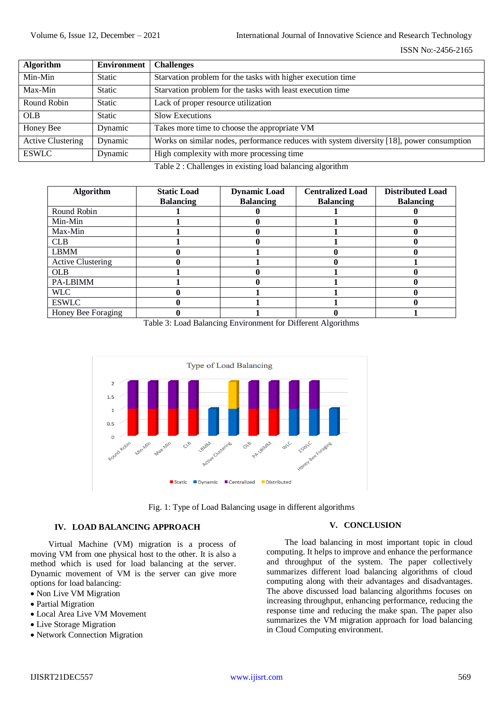| <b>Algorithm</b>         | <b>Environment</b> | <b>Challenges</b>                                                                         |
|--------------------------|--------------------|-------------------------------------------------------------------------------------------|
| Min-Min                  | Static             | Starvation problem for the tasks with higher execution time                               |
| Max-Min                  | <b>Static</b>      | Starvation problem for the tasks with least execution time                                |
| Round Robin              | <b>Static</b>      | Lack of proper resource utilization                                                       |
| <b>OLB</b>               | <b>Static</b>      | Slow Executions                                                                           |
| Honey Bee                | Dynamic            | Takes more time to choose the appropriate VM                                              |
| <b>Active Clustering</b> | Dynamic            | Works on similar nodes, performance reduces with system diversity [18], power consumption |
| <b>ESWLC</b>             | Dynamic            | High complexity with more processing time                                                 |

Table 2 : Challenges in existing load balancing algorithm

| <b>Algorithm</b>         | <b>Static Load</b><br><b>Balancing</b> | <b>Dynamic Load</b><br><b>Balancing</b> | <b>Centralized Load</b><br><b>Balancing</b> | <b>Distributed Load</b><br><b>Balancing</b> |
|--------------------------|----------------------------------------|-----------------------------------------|---------------------------------------------|---------------------------------------------|
| Round Robin              |                                        |                                         |                                             |                                             |
|                          |                                        |                                         |                                             |                                             |
| Min-Min                  |                                        |                                         |                                             |                                             |
| Max-Min                  |                                        |                                         |                                             |                                             |
| <b>CLB</b>               |                                        |                                         |                                             |                                             |
| <b>LBMM</b>              |                                        |                                         |                                             |                                             |
| <b>Active Clustering</b> |                                        |                                         |                                             |                                             |
| <b>OLB</b>               |                                        |                                         |                                             |                                             |
| PA-LBIMM                 |                                        |                                         |                                             |                                             |
| WLC                      |                                        |                                         |                                             |                                             |
| <b>ESWLC</b>             |                                        |                                         |                                             |                                             |
| Honey Bee Foraging       |                                        |                                         |                                             |                                             |

Table 3: Load Balancing Environment for Different Algorithms



Fig. 1: Type of Load Balancing usage in different algorithms

# **IV. LOAD BALANCING APPROACH**

Virtual Machine (VM) migration is a process of moving VM from one physical host to the other. It is also a method which is used for load balancing at the server. Dynamic movement of VM is the server can give more options for load balancing:

- Non Live VM Migration
- Partial Migration
- Local Area Live VM Movement
- Live Storage Migration
- Network Connection Migration

# **V. CONCLUSION**

The load balancing in most important topic in cloud computing. It helps to improve and enhance the performance and throughput of the system. The paper collectively summarizes different load balancing algorithms of cloud computing along with their advantages and disadvantages. The above discussed load balancing algorithms focuses on increasing throughput, enhancing performance, reducing the response time and reducing the make span. The paper also summarizes the VM migration approach for load balancing in Cloud Computing environment.